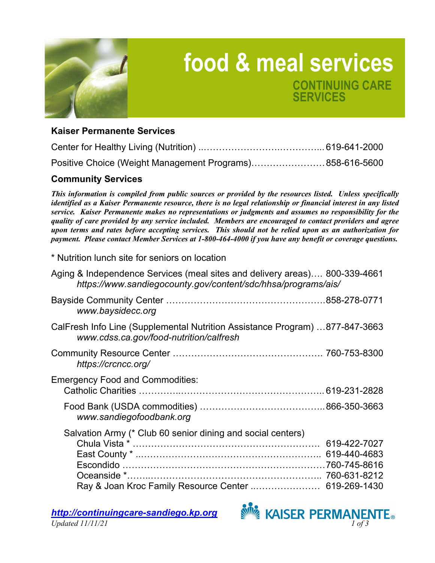

## **food & meal services CONTINUING CARE SERVICES**

## **Kaiser Permanente Services**

| Positive Choice (Weight Management Programs)858-616-5600 |  |
|----------------------------------------------------------|--|

## **Community Services**

*This information is compiled from public sources or provided by the resources listed. Unless specifically identified as a Kaiser Permanente resource, there is no legal relationship or financial interest in any listed service. Kaiser Permanente makes no representations or judgments and assumes no responsibility for the quality of care provided by any service included. Members are encouraged to contact providers and agree upon terms and rates before accepting services. This should not be relied upon as an authorization for payment. Please contact Member Services at 1-800-464-4000 if you have any benefit or coverage questions.* 

\* Nutrition lunch site for seniors on location

| Aging & Independence Services (meal sites and delivery areas) 800-339-4661<br>https://www.sandiegocounty.gov/content/sdc/hhsa/programs/ais/ |
|---------------------------------------------------------------------------------------------------------------------------------------------|
|                                                                                                                                             |
| CalFresh Info Line (Supplemental Nutrition Assistance Program) 877-847-3663                                                                 |
|                                                                                                                                             |
|                                                                                                                                             |
|                                                                                                                                             |
| 619-422-7027                                                                                                                                |
|                                                                                                                                             |

*[http://continuingcare-sandiego.kp.org](http://continuingcare-sandiego.kp.org/)* 

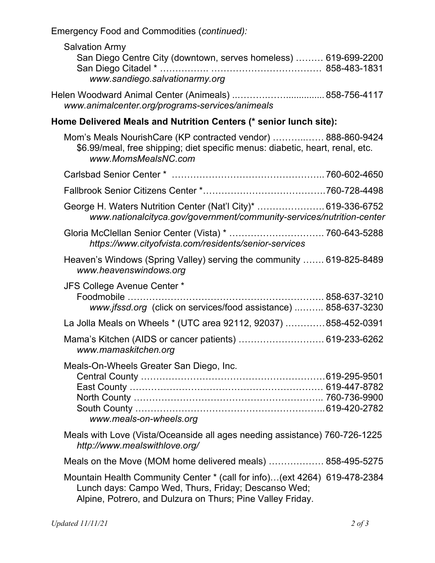Emergency Food and Commodities (*continued):* 

| <b>Salvation Army</b><br>San Diego Centre City (downtown, serves homeless)  619-699-2200<br>www.sandiego.salvationarmy.org                                           |  |
|----------------------------------------------------------------------------------------------------------------------------------------------------------------------|--|
| www.animalcenter.org/programs-services/animeals                                                                                                                      |  |
| Home Delivered Meals and Nutrition Centers (* senior lunch site):                                                                                                    |  |
| Mom's Meals NourishCare (KP contracted vendor)  888-860-9424<br>\$6.99/meal, free shipping; diet specific menus: diabetic, heart, renal, etc.<br>www.MomsMealsNC.com |  |
|                                                                                                                                                                      |  |
|                                                                                                                                                                      |  |
| George H. Waters Nutrition Center (Nat'l City)*  619-336-6752<br>www.nationalcityca.gov/government/community-services/nutrition-center                               |  |
| https://www.cityofvista.com/residents/senior-services                                                                                                                |  |
| Heaven's Windows (Spring Valley) serving the community  619-825-8489<br>www.heavenswindows.org                                                                       |  |
| JFS College Avenue Center *<br>Foodmobile<br>www.jfssd.org (click on services/food assistance)  858-637-3230                                                         |  |
| La Jolla Meals on Wheels * (UTC area 92112, 92037) 858-452-0391                                                                                                      |  |
| Mama's Kitchen (AIDS or cancer patients)  619-233-6262<br>www.mamaskitchen.org                                                                                       |  |
| Meals-On-Wheels Greater San Diego, Inc.<br>www.meals-on-wheels.org                                                                                                   |  |
| Meals with Love (Vista/Oceanside all ages needing assistance) 760-726-1225<br>http://www.mealswithlove.org/                                                          |  |
| Meals on the Move (MOM home delivered meals)  858-495-5275                                                                                                           |  |
| Mountain Health Community Center * (call for info)(ext 4264) 619-478-2384<br>Lunch days: Campo Wed, Thurs, Friday; Descanso Wed;                                     |  |

Alpine, Potrero, and Dulzura on Thurs; Pine Valley Friday.